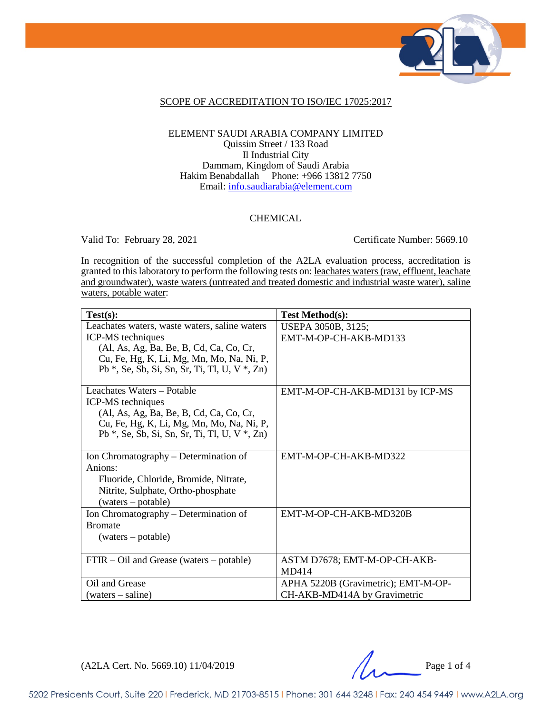

#### SCOPE OF ACCREDITATION TO ISO/IEC 17025:2017

### ELEMENT SAUDI ARABIA COMPANY LIMITED Quissim Street / 133 Road Il Industrial City Dammam, Kingdom of Saudi Arabia Hakim Benabdallah Phone: +966 13812 7750 Email: [info.saudiarabia@element.com](mailto:info.saudiarabia@element.com)

### CHEMICAL

Valid To: February 28, 2021 Certificate Number: 5669.10

In recognition of the successful completion of the A2LA evaluation process, accreditation is granted to this laboratory to perform the following tests on: leachates waters (raw, effluent, leachate and groundwater), waste waters (untreated and treated domestic and industrial waste water), saline waters, potable water:

| Test(s):                                            | <b>Test Method(s):</b>              |
|-----------------------------------------------------|-------------------------------------|
| Leachates waters, waste waters, saline waters       | USEPA 3050B, 3125;                  |
| ICP-MS techniques                                   | EMT-M-OP-CH-AKB-MD133               |
| (Al, As, Ag, Ba, Be, B, Cd, Ca, Co, Cr,             |                                     |
| Cu, Fe, Hg, K, Li, Mg, Mn, Mo, Na, Ni, P,           |                                     |
| Pb $*$ , Se, Sb, Si, Sn, Sr, Ti, Tl, U, V $*$ , Zn) |                                     |
|                                                     |                                     |
| Leachates Waters – Potable                          | EMT-M-OP-CH-AKB-MD131 by ICP-MS     |
| ICP-MS techniques                                   |                                     |
| (Al, As, Ag, Ba, Be, B, Cd, Ca, Co, Cr,             |                                     |
| Cu, Fe, Hg, K, Li, Mg, Mn, Mo, Na, Ni, P,           |                                     |
| Pb $*$ , Se, Sb, Si, Sn, Sr, Ti, Tl, U, V $*$ , Zn) |                                     |
|                                                     |                                     |
| Ion Chromatography – Determination of               | EMT-M-OP-CH-AKB-MD322               |
| Anions:                                             |                                     |
| Fluoride, Chloride, Bromide, Nitrate,               |                                     |
| Nitrite, Sulphate, Ortho-phosphate                  |                                     |
| (waters – potable)                                  |                                     |
| Ion Chromatography – Determination of               | EMT-M-OP-CH-AKB-MD320B              |
| <b>Bromate</b>                                      |                                     |
| (waters – potable)                                  |                                     |
|                                                     |                                     |
| FTIR – Oil and Grease (waters – potable)            | ASTM D7678; EMT-M-OP-CH-AKB-        |
|                                                     | MD414                               |
| Oil and Grease                                      | APHA 5220B (Gravimetric); EMT-M-OP- |
| $(waters - saline)$                                 | CH-AKB-MD414A by Gravimetric        |

 $(A2LA$  Cert. No. 5669.10)  $11/04/2019$  Page 1 of 4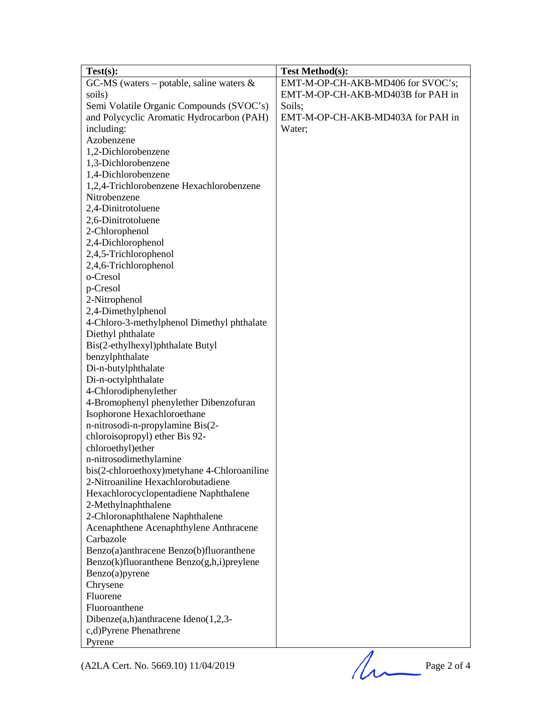| Test(s):                                        | <b>Test Method(s):</b>            |
|-------------------------------------------------|-----------------------------------|
| GC-MS (waters – potable, saline waters $\&$     | EMT-M-OP-CH-AKB-MD406 for SVOC's; |
| soils)                                          | EMT-M-OP-CH-AKB-MD403B for PAH in |
| Semi Volatile Organic Compounds (SVOC's)        | Soils;                            |
| and Polycyclic Aromatic Hydrocarbon (PAH)       | EMT-M-OP-CH-AKB-MD403A for PAH in |
| including:                                      | Water;                            |
| Azobenzene                                      |                                   |
| 1,2-Dichlorobenzene                             |                                   |
| 1,3-Dichlorobenzene                             |                                   |
| 1,4-Dichlorobenzene                             |                                   |
| 1,2,4-Trichlorobenzene Hexachlorobenzene        |                                   |
| Nitrobenzene                                    |                                   |
| 2,4-Dinitrotoluene                              |                                   |
| 2,6-Dinitrotoluene                              |                                   |
| 2-Chlorophenol                                  |                                   |
| 2,4-Dichlorophenol                              |                                   |
| 2,4,5-Trichlorophenol                           |                                   |
| 2,4,6-Trichlorophenol                           |                                   |
| o-Cresol                                        |                                   |
| p-Cresol                                        |                                   |
| 2-Nitrophenol                                   |                                   |
| 2,4-Dimethylphenol                              |                                   |
| 4-Chloro-3-methylphenol Dimethyl phthalate      |                                   |
| Diethyl phthalate                               |                                   |
| Bis(2-ethylhexyl)phthalate Butyl                |                                   |
| benzylphthalate                                 |                                   |
| Di-n-butylphthalate                             |                                   |
| Di-n-octylphthalate                             |                                   |
| 4-Chlorodiphenylether                           |                                   |
| 4-Bromophenyl phenylether Dibenzofuran          |                                   |
| Isophorone Hexachloroethane                     |                                   |
| n-nitrosodi-n-propylamine Bis(2-                |                                   |
| chloroisopropyl) ether Bis 92-                  |                                   |
| chloroethyl)ether                               |                                   |
| n-nitrosodimethylamine                          |                                   |
| bis(2-chloroethoxy)metyhane 4-Chloroaniline     |                                   |
| 2-Nitroaniline Hexachlorobutadiene              |                                   |
| Hexachlorocyclopentadiene Naphthalene           |                                   |
| 2-Methylnaphthalene                             |                                   |
| 2-Chloronaphthalene Naphthalene                 |                                   |
| Acenaphthene Acenaphthylene Anthracene          |                                   |
| Carbazole                                       |                                   |
| Benzo(a)anthracene Benzo(b)fluoranthene         |                                   |
| $Benzo(k)$ fluoranthene $Benzo(g,h,i)$ preylene |                                   |
| Benzo(a)pyrene                                  |                                   |
| Chrysene                                        |                                   |
| Fluorene                                        |                                   |
| Fluoroanthene                                   |                                   |
| Dibenze $(a,h)$ anthracene Ideno $(1,2,3-$      |                                   |
| c,d)Pyrene Phenathrene                          |                                   |
| Pyrene                                          |                                   |
|                                                 |                                   |
| (A2LA Cert. No. 5669.10) 11/04/2019             | Page 2 of 4                       |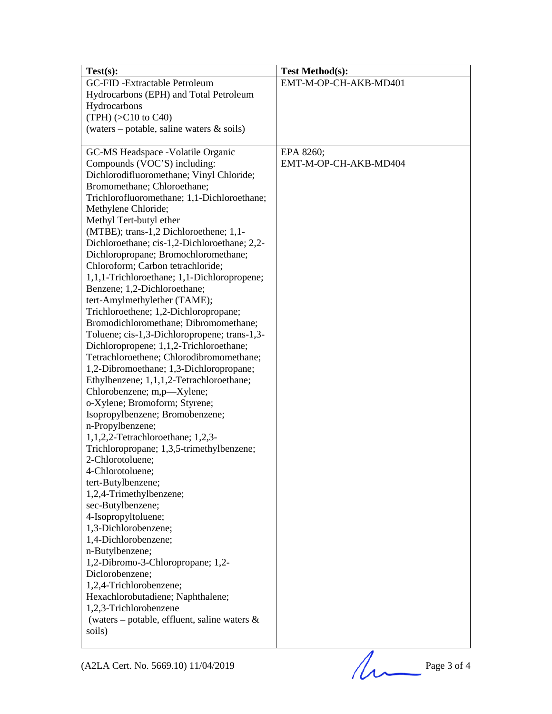| Test(s):                                             | <b>Test Method(s):</b> |
|------------------------------------------------------|------------------------|
| GC-FID-Extractable Petroleum                         | EMT-M-OP-CH-AKB-MD401  |
| Hydrocarbons (EPH) and Total Petroleum               |                        |
| Hydrocarbons                                         |                        |
| $(TPH)$ ( $>$ C10 to C40)                            |                        |
| (waters – potable, saline waters $\&$ soils)         |                        |
|                                                      |                        |
| GC-MS Headspace -Volatile Organic                    | EPA 8260;              |
| Compounds (VOC'S) including:                         | EMT-M-OP-CH-AKB-MD404  |
| Dichlorodifluoromethane; Vinyl Chloride;             |                        |
| Bromomethane; Chloroethane;                          |                        |
| Trichlorofluoromethane; 1,1-Dichloroethane;          |                        |
| Methylene Chloride;                                  |                        |
| Methyl Tert-butyl ether                              |                        |
| (MTBE); trans-1,2 Dichloroethene; 1,1-               |                        |
| Dichloroethane; cis-1,2-Dichloroethane; 2,2-         |                        |
| Dichloropropane; Bromochloromethane;                 |                        |
| Chloroform; Carbon tetrachloride;                    |                        |
| 1,1,1-Trichloroethane; 1,1-Dichloropropene;          |                        |
| Benzene; 1,2-Dichloroethane;                         |                        |
| tert-Amylmethylether (TAME);                         |                        |
| Trichloroethene; 1,2-Dichloropropane;                |                        |
| Bromodichloromethane; Dibromomethane;                |                        |
| Toluene; cis-1,3-Dichloropropene; trans-1,3-         |                        |
| Dichloropropene; 1,1,2-Trichloroethane;              |                        |
| Tetrachloroethene; Chlorodibromomethane;             |                        |
| 1,2-Dibromoethane; 1,3-Dichloropropane;              |                        |
| Ethylbenzene; 1,1,1,2-Tetrachloroethane;             |                        |
| Chlorobenzene; m,p—Xylene;                           |                        |
| o-Xylene; Bromoform; Styrene;                        |                        |
| Isopropylbenzene; Bromobenzene;                      |                        |
| n-Propylbenzene;                                     |                        |
| $1,1,2,2$ -Tetrachloroethane; 1,2,3-                 |                        |
| Trichloropropane; 1,3,5-trimethylbenzene;            |                        |
| 2-Chlorotoluene;                                     |                        |
| 4-Chlorotoluene;                                     |                        |
| tert-Butylbenzene;                                   |                        |
| 1,2,4-Trimethylbenzene;                              |                        |
| sec-Butylbenzene;                                    |                        |
| 4-Isopropyltoluene;                                  |                        |
| 1,3-Dichlorobenzene;<br>1,4-Dichlorobenzene;         |                        |
|                                                      |                        |
| n-Butylbenzene;<br>1,2-Dibromo-3-Chloropropane; 1,2- |                        |
| Diclorobenzene;                                      |                        |
| 1,2,4-Trichlorobenzene;                              |                        |
| Hexachlorobutadiene; Naphthalene;                    |                        |
| 1,2,3-Trichlorobenzene                               |                        |
| (waters – potable, effluent, saline waters $\&$      |                        |
| soils)                                               |                        |
|                                                      |                        |

(A2LA Cert. No. 5669.10) 11/04/2019 Page 3 of 4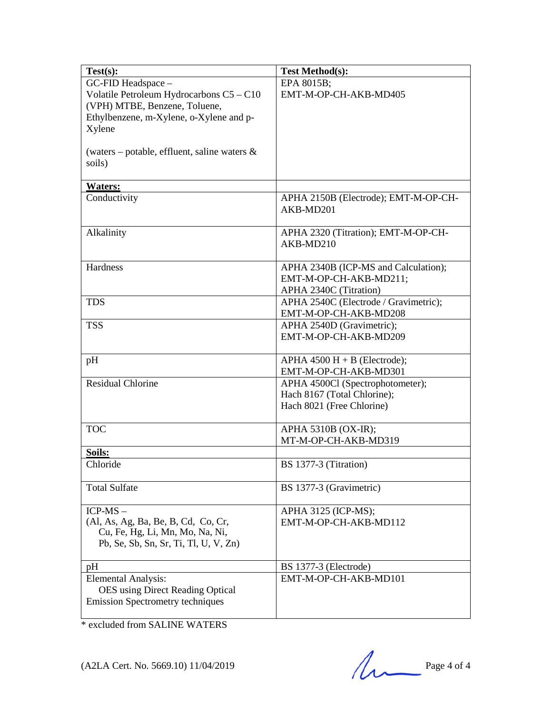| $Test(s)$ :                                                              | <b>Test Method(s):</b>                                          |
|--------------------------------------------------------------------------|-----------------------------------------------------------------|
| GC-FID Headspace -                                                       | EPA 8015B;                                                      |
| Volatile Petroleum Hydrocarbons C5 - C10                                 | EMT-M-OP-CH-AKB-MD405                                           |
| (VPH) MTBE, Benzene, Toluene,                                            |                                                                 |
| Ethylbenzene, m-Xylene, o-Xylene and p-                                  |                                                                 |
| Xylene                                                                   |                                                                 |
|                                                                          |                                                                 |
| (waters – potable, effluent, saline waters $\&$                          |                                                                 |
| soils)                                                                   |                                                                 |
| <b>Waters:</b>                                                           |                                                                 |
| Conductivity                                                             | APHA 2150B (Electrode); EMT-M-OP-CH-                            |
|                                                                          | AKB-MD201                                                       |
|                                                                          |                                                                 |
| Alkalinity                                                               | APHA 2320 (Titration); EMT-M-OP-CH-                             |
|                                                                          | AKB-MD210                                                       |
|                                                                          |                                                                 |
| Hardness                                                                 | APHA 2340B (ICP-MS and Calculation);                            |
|                                                                          | EMT-M-OP-CH-AKB-MD211;                                          |
|                                                                          | APHA 2340C (Titration)                                          |
| <b>TDS</b>                                                               | APHA 2540C (Electrode / Gravimetric);                           |
|                                                                          | EMT-M-OP-CH-AKB-MD208                                           |
| <b>TSS</b>                                                               | APHA 2540D (Gravimetric);                                       |
|                                                                          | EMT-M-OP-CH-AKB-MD209                                           |
|                                                                          |                                                                 |
| pH                                                                       | APHA $4500$ H + B (Electrode);                                  |
| <b>Residual Chlorine</b>                                                 | EMT-M-OP-CH-AKB-MD301                                           |
|                                                                          | APHA 4500Cl (Spectrophotometer);<br>Hach 8167 (Total Chlorine); |
|                                                                          | Hach 8021 (Free Chlorine)                                       |
|                                                                          |                                                                 |
| <b>TOC</b>                                                               | APHA 5310B (OX-IR);                                             |
|                                                                          | MT-M-OP-CH-AKB-MD319                                            |
| Soils:                                                                   |                                                                 |
| Chloride                                                                 | BS 1377-3 (Titration)                                           |
|                                                                          |                                                                 |
| <b>Total Sulfate</b>                                                     | BS 1377-3 (Gravimetric)                                         |
|                                                                          |                                                                 |
| $ICP-MS$ -                                                               | APHA 3125 (ICP-MS);                                             |
| (Al, As, Ag, Ba, Be, B, Cd, Co, Cr,                                      | EMT-M-OP-CH-AKB-MD112                                           |
| Cu, Fe, Hg, Li, Mn, Mo, Na, Ni,<br>Pb, Se, Sb, Sn, Sr, Ti, Tl, U, V, Zn) |                                                                 |
|                                                                          |                                                                 |
| pH                                                                       | BS 1377-3 (Electrode)                                           |
| <b>Elemental Analysis:</b>                                               | EMT-M-OP-CH-AKB-MD101                                           |
| <b>OES</b> using Direct Reading Optical                                  |                                                                 |
| <b>Emission Spectrometry techniques</b>                                  |                                                                 |
|                                                                          |                                                                 |

\* excluded from SALINE WATERS

 $(A2LA$  Cert. No. 5669.10) 11/04/2019 Page 4 of 4